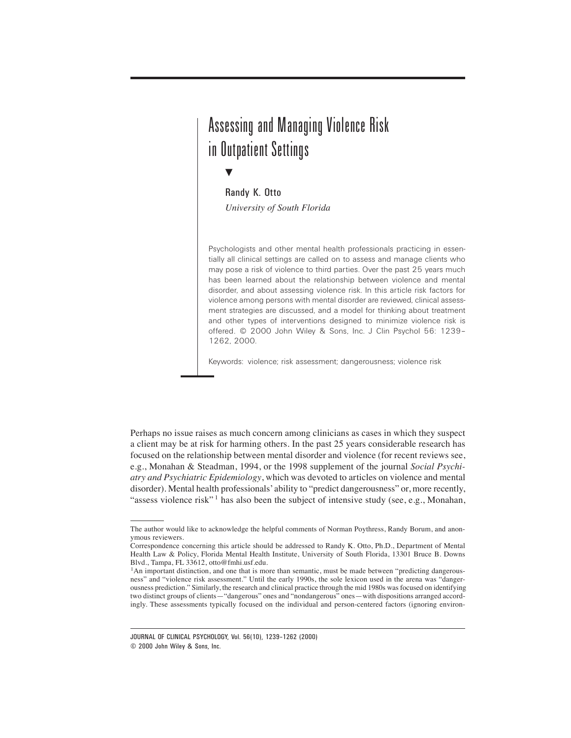# Assessing and Managing Violence Risk in Outpatient Settings

 $\blacktriangledown$ 

# Randy K. Otto

*University of South Florida*

Psychologists and other mental health professionals practicing in essentially all clinical settings are called on to assess and manage clients who may pose a risk of violence to third parties. Over the past 25 years much has been learned about the relationship between violence and mental disorder, and about assessing violence risk. In this article risk factors for violence among persons with mental disorder are reviewed, clinical assessment strategies are discussed, and a model for thinking about treatment and other types of interventions designed to minimize violence risk is offered. © 2000 John Wiley & Sons, Inc. J Clin Psychol 56: 1239– 1262, 2000.

Keywords: violence; risk assessment; dangerousness; violence risk

Perhaps no issue raises as much concern among clinicians as cases in which they suspect a client may be at risk for harming others. In the past 25 years considerable research has focused on the relationship between mental disorder and violence (for recent reviews see, e.g., Monahan & Steadman, 1994, or the 1998 supplement of the journal *Social Psychiatry and Psychiatric Epidemiology*, which was devoted to articles on violence and mental disorder). Mental health professionals' ability to "predict dangerousness" or, more recently, "assess violence risk"<sup>1</sup> has also been the subject of intensive study (see, e.g., Monahan,

The author would like to acknowledge the helpful comments of Norman Poythress, Randy Borum, and anonymous reviewers.

Correspondence concerning this article should be addressed to Randy K. Otto, Ph.D., Department of Mental Health Law & Policy, Florida Mental Health Institute, University of South Florida, 13301 Bruce B. Downs Blvd., Tampa, FL 33612, otto@fmhi.usf.edu.

<sup>&</sup>lt;sup>1</sup>An important distinction, and one that is more than semantic, must be made between "predicting dangerousness" and "violence risk assessment." Until the early 1990s, the sole lexicon used in the arena was "dangerousness prediction." Similarly, the research and clinical practice through the mid 1980s was focused on identifying two distinct groups of clients—"dangerous" ones and "nondangerous" ones—with dispositions arranged accordingly. These assessments typically focused on the individual and person-centered factors (ignoring environ-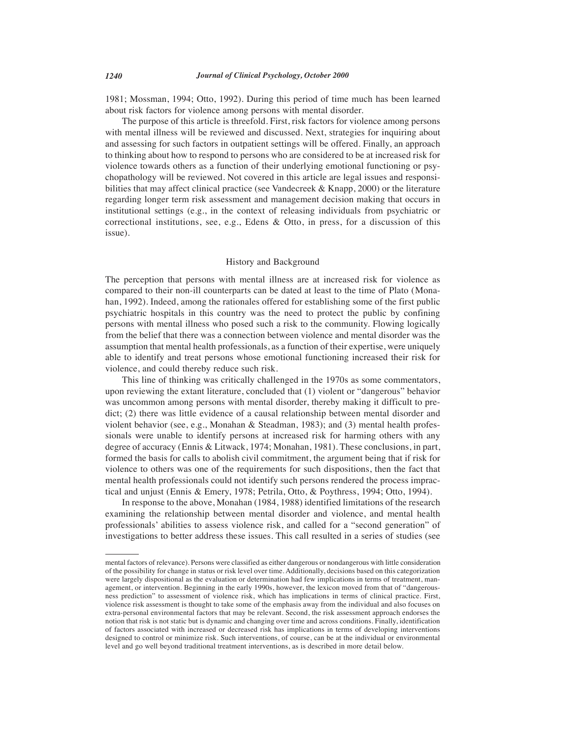1981; Mossman, 1994; Otto, 1992). During this period of time much has been learned about risk factors for violence among persons with mental disorder.

The purpose of this article is threefold. First, risk factors for violence among persons with mental illness will be reviewed and discussed. Next, strategies for inquiring about and assessing for such factors in outpatient settings will be offered. Finally, an approach to thinking about how to respond to persons who are considered to be at increased risk for violence towards others as a function of their underlying emotional functioning or psychopathology will be reviewed. Not covered in this article are legal issues and responsibilities that may affect clinical practice (see Vandecreek  $\&$  Knapp, 2000) or the literature regarding longer term risk assessment and management decision making that occurs in institutional settings (e.g., in the context of releasing individuals from psychiatric or correctional institutions, see, e.g., Edens & Otto, in press, for a discussion of this issue).

# History and Background

The perception that persons with mental illness are at increased risk for violence as compared to their non-ill counterparts can be dated at least to the time of Plato (Monahan, 1992). Indeed, among the rationales offered for establishing some of the first public psychiatric hospitals in this country was the need to protect the public by confining persons with mental illness who posed such a risk to the community. Flowing logically from the belief that there was a connection between violence and mental disorder was the assumption that mental health professionals, as a function of their expertise, were uniquely able to identify and treat persons whose emotional functioning increased their risk for violence, and could thereby reduce such risk.

This line of thinking was critically challenged in the 1970s as some commentators, upon reviewing the extant literature, concluded that (1) violent or "dangerous" behavior was uncommon among persons with mental disorder, thereby making it difficult to predict; (2) there was little evidence of a causal relationship between mental disorder and violent behavior (see, e.g., Monahan & Steadman, 1983); and (3) mental health professionals were unable to identify persons at increased risk for harming others with any degree of accuracy (Ennis & Litwack, 1974; Monahan, 1981). These conclusions, in part, formed the basis for calls to abolish civil commitment, the argument being that if risk for violence to others was one of the requirements for such dispositions, then the fact that mental health professionals could not identify such persons rendered the process impractical and unjust (Ennis & Emery, 1978; Petrila, Otto, & Poythress, 1994; Otto, 1994).

In response to the above, Monahan (1984, 1988) identified limitations of the research examining the relationship between mental disorder and violence, and mental health professionals' abilities to assess violence risk, and called for a "second generation" of investigations to better address these issues. This call resulted in a series of studies (see

mental factors of relevance). Persons were classified as either dangerous or nondangerous with little consideration of the possibility for change in status or risk level over time. Additionally, decisions based on this categorization were largely dispositional as the evaluation or determination had few implications in terms of treatment, management, or intervention. Beginning in the early 1990s, however, the lexicon moved from that of "dangerousness prediction" to assessment of violence risk, which has implications in terms of clinical practice. First, violence risk assessment is thought to take some of the emphasis away from the individual and also focuses on extra-personal environmental factors that may be relevant. Second, the risk assessment approach endorses the notion that risk is not static but is dynamic and changing over time and across conditions. Finally, identification of factors associated with increased or decreased risk has implications in terms of developing interventions designed to control or minimize risk. Such interventions, of course, can be at the individual or environmental level and go well beyond traditional treatment interventions, as is described in more detail below.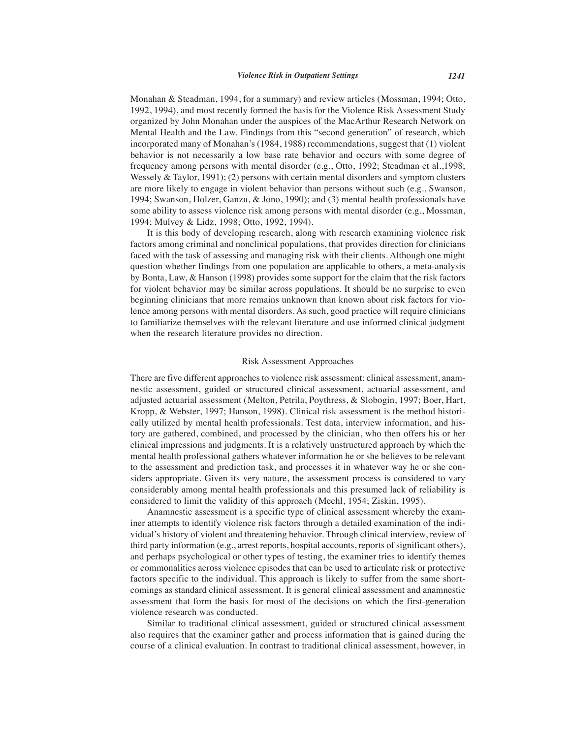Monahan & Steadman, 1994, for a summary) and review articles (Mossman, 1994; Otto, 1992, 1994), and most recently formed the basis for the Violence Risk Assessment Study organized by John Monahan under the auspices of the MacArthur Research Network on Mental Health and the Law. Findings from this "second generation" of research, which incorporated many of Monahan's (1984, 1988) recommendations, suggest that (1) violent behavior is not necessarily a low base rate behavior and occurs with some degree of frequency among persons with mental disorder (e.g., Otto, 1992; Steadman et al.,1998; Wessely & Taylor, 1991); (2) persons with certain mental disorders and symptom clusters are more likely to engage in violent behavior than persons without such (e.g., Swanson, 1994; Swanson, Holzer, Ganzu, & Jono, 1990); and (3) mental health professionals have some ability to assess violence risk among persons with mental disorder (e.g., Mossman, 1994; Mulvey & Lidz, 1998; Otto, 1992, 1994).

It is this body of developing research, along with research examining violence risk factors among criminal and nonclinical populations, that provides direction for clinicians faced with the task of assessing and managing risk with their clients. Although one might question whether findings from one population are applicable to others, a meta-analysis by Bonta, Law, & Hanson (1998) provides some support for the claim that the risk factors for violent behavior may be similar across populations. It should be no surprise to even beginning clinicians that more remains unknown than known about risk factors for violence among persons with mental disorders. As such, good practice will require clinicians to familiarize themselves with the relevant literature and use informed clinical judgment when the research literature provides no direction.

## Risk Assessment Approaches

There are five different approaches to violence risk assessment: clinical assessment, anamnestic assessment, guided or structured clinical assessment, actuarial assessment, and adjusted actuarial assessment (Melton, Petrila, Poythress, & Slobogin, 1997; Boer, Hart, Kropp, & Webster, 1997; Hanson, 1998). Clinical risk assessment is the method historically utilized by mental health professionals. Test data, interview information, and history are gathered, combined, and processed by the clinician, who then offers his or her clinical impressions and judgments. It is a relatively unstructured approach by which the mental health professional gathers whatever information he or she believes to be relevant to the assessment and prediction task, and processes it in whatever way he or she considers appropriate. Given its very nature, the assessment process is considered to vary considerably among mental health professionals and this presumed lack of reliability is considered to limit the validity of this approach (Meehl, 1954; Ziskin, 1995).

Anamnestic assessment is a specific type of clinical assessment whereby the examiner attempts to identify violence risk factors through a detailed examination of the individual's history of violent and threatening behavior. Through clinical interview, review of third party information (e.g., arrest reports, hospital accounts, reports of significant others), and perhaps psychological or other types of testing, the examiner tries to identify themes or commonalities across violence episodes that can be used to articulate risk or protective factors specific to the individual. This approach is likely to suffer from the same shortcomings as standard clinical assessment. It is general clinical assessment and anamnestic assessment that form the basis for most of the decisions on which the first-generation violence research was conducted.

Similar to traditional clinical assessment, guided or structured clinical assessment also requires that the examiner gather and process information that is gained during the course of a clinical evaluation. In contrast to traditional clinical assessment, however, in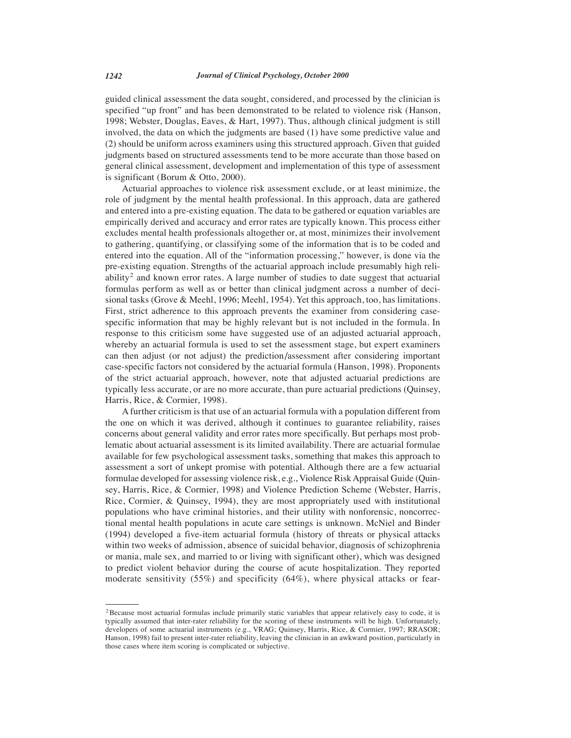guided clinical assessment the data sought, considered, and processed by the clinician is specified "up front" and has been demonstrated to be related to violence risk (Hanson, 1998; Webster, Douglas, Eaves, & Hart, 1997). Thus, although clinical judgment is still involved, the data on which the judgments are based (1) have some predictive value and (2) should be uniform across examiners using this structured approach. Given that guided judgments based on structured assessments tend to be more accurate than those based on general clinical assessment, development and implementation of this type of assessment is significant (Borum & Otto, 2000).

Actuarial approaches to violence risk assessment exclude, or at least minimize, the role of judgment by the mental health professional. In this approach, data are gathered and entered into a pre-existing equation. The data to be gathered or equation variables are empirically derived and accuracy and error rates are typically known. This process either excludes mental health professionals altogether or, at most, minimizes their involvement to gathering, quantifying, or classifying some of the information that is to be coded and entered into the equation. All of the "information processing," however, is done via the pre-existing equation. Strengths of the actuarial approach include presumably high reliability<sup>2</sup> and known error rates. A large number of studies to date suggest that actuarial formulas perform as well as or better than clinical judgment across a number of decisional tasks (Grove & Meehl, 1996; Meehl, 1954). Yet this approach, too, has limitations. First, strict adherence to this approach prevents the examiner from considering casespecific information that may be highly relevant but is not included in the formula. In response to this criticism some have suggested use of an adjusted actuarial approach, whereby an actuarial formula is used to set the assessment stage, but expert examiners can then adjust (or not adjust) the prediction/assessment after considering important case-specific factors not considered by the actuarial formula (Hanson, 1998). Proponents of the strict actuarial approach, however, note that adjusted actuarial predictions are typically less accurate, or are no more accurate, than pure actuarial predictions (Quinsey, Harris, Rice, & Cormier, 1998).

A further criticism is that use of an actuarial formula with a population different from the one on which it was derived, although it continues to guarantee reliability, raises concerns about general validity and error rates more specifically. But perhaps most problematic about actuarial assessment is its limited availability. There are actuarial formulae available for few psychological assessment tasks, something that makes this approach to assessment a sort of unkept promise with potential. Although there are a few actuarial formulae developed for assessing violence risk, e.g., Violence Risk Appraisal Guide (Quinsey, Harris, Rice, & Cormier, 1998) and Violence Prediction Scheme (Webster, Harris, Rice, Cormier, & Quinsey, 1994), they are most appropriately used with institutional populations who have criminal histories, and their utility with nonforensic, noncorrectional mental health populations in acute care settings is unknown. McNiel and Binder (1994) developed a five-item actuarial formula (history of threats or physical attacks within two weeks of admission, absence of suicidal behavior, diagnosis of schizophrenia or mania, male sex, and married to or living with significant other), which was designed to predict violent behavior during the course of acute hospitalization. They reported moderate sensitivity (55%) and specificity (64%), where physical attacks or fear-

<sup>&</sup>lt;sup>2</sup>Because most actuarial formulas include primarily static variables that appear relatively easy to code, it is typically assumed that inter-rater reliability for the scoring of these instruments will be high. Unfortunately, developers of some actuarial instruments (e.g., VRAG; Quinsey, Harris, Rice, & Cormier, 1997; RRASOR; Hanson, 1998) fail to present inter-rater reliability, leaving the clinician in an awkward position, particularly in those cases where item scoring is complicated or subjective.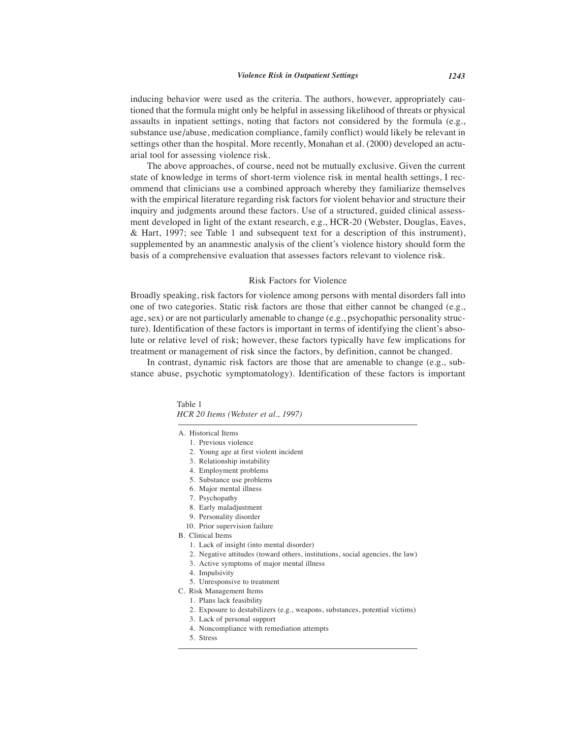inducing behavior were used as the criteria. The authors, however, appropriately cautioned that the formula might only be helpful in assessing likelihood of threats or physical

assaults in inpatient settings, noting that factors not considered by the formula (e.g., substance use/abuse, medication compliance, family conflict) would likely be relevant in settings other than the hospital. More recently, Monahan et al. (2000) developed an actuarial tool for assessing violence risk.

The above approaches, of course, need not be mutually exclusive. Given the current state of knowledge in terms of short-term violence risk in mental health settings, I recommend that clinicians use a combined approach whereby they familiarize themselves with the empirical literature regarding risk factors for violent behavior and structure their inquiry and judgments around these factors. Use of a structured, guided clinical assessment developed in light of the extant research, e.g., HCR-20 (Webster, Douglas, Eaves, & Hart, 1997; see Table 1 and subsequent text for a description of this instrument), supplemented by an anamnestic analysis of the client's violence history should form the basis of a comprehensive evaluation that assesses factors relevant to violence risk.

# Risk Factors for Violence

Broadly speaking, risk factors for violence among persons with mental disorders fall into one of two categories. Static risk factors are those that either cannot be changed (e.g., age, sex) or are not particularly amenable to change (e.g., psychopathic personality structure). Identification of these factors is important in terms of identifying the client's absolute or relative level of risk; however, these factors typically have few implications for treatment or management of risk since the factors, by definition, cannot be changed.

In contrast, dynamic risk factors are those that are amenable to change (e.g., substance abuse, psychotic symptomatology). Identification of these factors is important

> Table 1 *HCR 20 Items (Webster et al., 1997)*

A. Historical Items

- 1. Previous violence
- 2. Young age at first violent incident
- 3. Relationship instability
- 4. Employment problems
- 5. Substance use problems
- 6. Major mental illness
- 7. Psychopathy
- 8. Early maladjustment
- 9. Personality disorder
- 10. Prior supervision failure
- B. Clinical Items
	- 1. Lack of insight (into mental disorder)
	- 2. Negative attitudes (toward others, institutions, social agencies, the law)
	- 3. Active symptoms of major mental illness
	- 4. Impulsivity
	- 5. Unresponsive to treatment

# C. Risk Management Items

- 1. Plans lack feasibility
- 2. Exposure to destabilizers (e.g., weapons, substances, potential victims)
- 3. Lack of personal support
- 4. Noncompliance with remediation attempts
- 5. Stress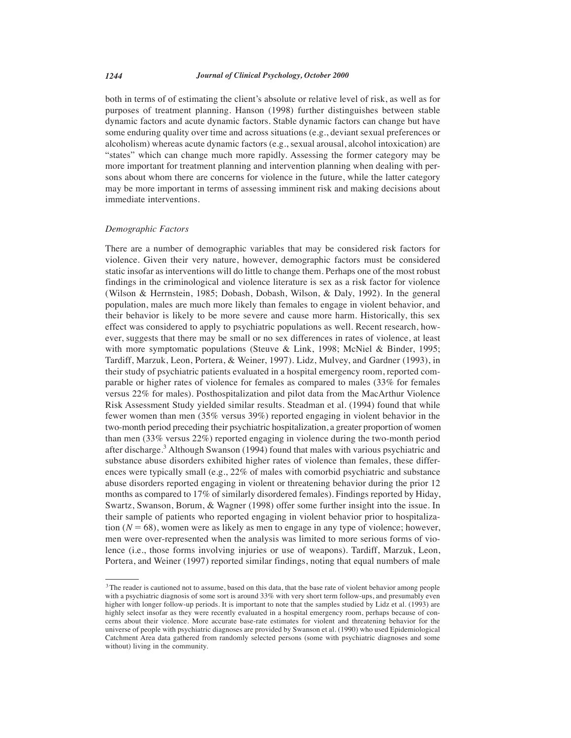both in terms of of estimating the client's absolute or relative level of risk, as well as for purposes of treatment planning. Hanson (1998) further distinguishes between stable dynamic factors and acute dynamic factors. Stable dynamic factors can change but have some enduring quality over time and across situations (e.g., deviant sexual preferences or alcoholism) whereas acute dynamic factors (e.g., sexual arousal, alcohol intoxication) are "states" which can change much more rapidly. Assessing the former category may be more important for treatment planning and intervention planning when dealing with persons about whom there are concerns for violence in the future, while the latter category may be more important in terms of assessing imminent risk and making decisions about immediate interventions.

# *Demographic Factors*

There are a number of demographic variables that may be considered risk factors for violence. Given their very nature, however, demographic factors must be considered static insofar as interventions will do little to change them. Perhaps one of the most robust findings in the criminological and violence literature is sex as a risk factor for violence (Wilson & Herrnstein, 1985; Dobash, Dobash, Wilson, & Daly, 1992). In the general population, males are much more likely than females to engage in violent behavior, and their behavior is likely to be more severe and cause more harm. Historically, this sex effect was considered to apply to psychiatric populations as well. Recent research, however, suggests that there may be small or no sex differences in rates of violence, at least with more symptomatic populations (Steuve & Link, 1998; McNiel & Binder, 1995; Tardiff, Marzuk, Leon, Portera, & Weiner, 1997). Lidz, Mulvey, and Gardner (1993), in their study of psychiatric patients evaluated in a hospital emergency room, reported comparable or higher rates of violence for females as compared to males (33% for females versus 22% for males). Posthospitalization and pilot data from the MacArthur Violence Risk Assessment Study yielded similar results. Steadman et al. (1994) found that while fewer women than men (35% versus 39%) reported engaging in violent behavior in the two-month period preceding their psychiatric hospitalization, a greater proportion of women than men (33% versus 22%) reported engaging in violence during the two-month period after discharge.3 Although Swanson (1994) found that males with various psychiatric and substance abuse disorders exhibited higher rates of violence than females, these differences were typically small (e.g., 22% of males with comorbid psychiatric and substance abuse disorders reported engaging in violent or threatening behavior during the prior 12 months as compared to 17% of similarly disordered females). Findings reported by Hiday, Swartz, Swanson, Borum, & Wagner (1998) offer some further insight into the issue. In their sample of patients who reported engaging in violent behavior prior to hospitalization  $(N = 68)$ , women were as likely as men to engage in any type of violence; however, men were over-represented when the analysis was limited to more serious forms of violence (i.e., those forms involving injuries or use of weapons). Tardiff, Marzuk, Leon, Portera, and Weiner (1997) reported similar findings, noting that equal numbers of male

<sup>&</sup>lt;sup>3</sup>The reader is cautioned not to assume, based on this data, that the base rate of violent behavior among people with a psychiatric diagnosis of some sort is around 33% with very short term follow-ups, and presumably even higher with longer follow-up periods. It is important to note that the samples studied by Lidz et al. (1993) are highly select insofar as they were recently evaluated in a hospital emergency room, perhaps because of concerns about their violence. More accurate base-rate estimates for violent and threatening behavior for the universe of people with psychiatric diagnoses are provided by Swanson et al. (1990) who used Epidemiological Catchment Area data gathered from randomly selected persons (some with psychiatric diagnoses and some without) living in the community.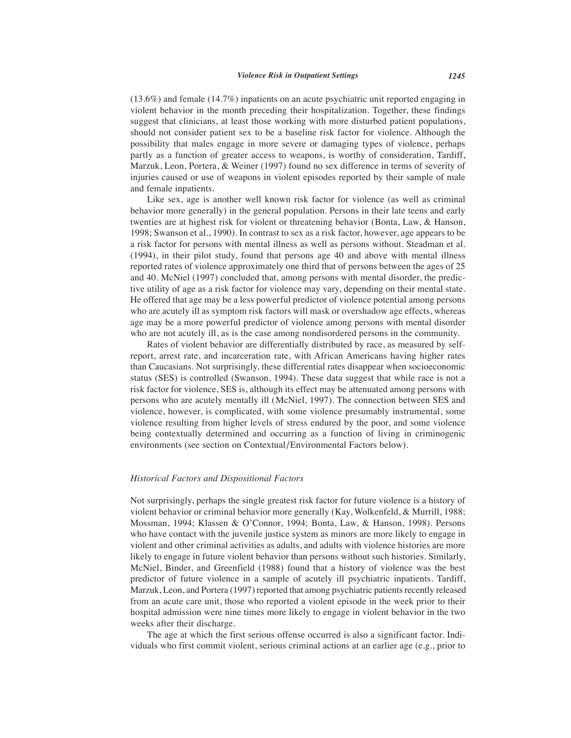(13.6%) and female (14.7%) inpatients on an acute psychiatric unit reported engaging in violent behavior in the month preceding their hospitalization. Together, these findings suggest that clinicians, at least those working with more disturbed patient populations, should not consider patient sex to be a baseline risk factor for violence. Although the possibility that males engage in more severe or damaging types of violence, perhaps partly as a function of greater access to weapons, is worthy of consideration, Tardiff, Marzuk, Leon, Portera, & Weiner (1997) found no sex difference in terms of severity of injuries caused or use of weapons in violent episodes reported by their sample of male and female inpatients.

Like sex, age is another well known risk factor for violence (as well as criminal behavior more generally) in the general population. Persons in their late teens and early twenties are at highest risk for violent or threatening behavior (Bonta, Law, & Hanson, 1998; Swanson et al., 1990). In contrast to sex as a risk factor, however, age appears to be a risk factor for persons with mental illness as well as persons without. Steadman et al. (1994), in their pilot study, found that persons age 40 and above with mental illness reported rates of violence approximately one third that of persons between the ages of 25 and 40. McNiel (1997) concluded that, among persons with mental disorder, the predictive utility of age as a risk factor for violence may vary, depending on their mental state. He offered that age may be a less powerful predictor of violence potential among persons who are acutely ill as symptom risk factors will mask or overshadow age effects, whereas age may be a more powerful predictor of violence among persons with mental disorder who are not acutely ill, as is the case among nondisordered persons in the community.

Rates of violent behavior are differentially distributed by race, as measured by selfreport, arrest rate, and incarceration rate, with African Americans having higher rates than Caucasians. Not surprisingly, these differential rates disappear when socioeconomic status (SES) is controlled (Swanson, 1994). These data suggest that while race is not a risk factor for violence, SES is, although its effect may be attenuated among persons with persons who are acutely mentally ill (McNiel, 1997). The connection between SES and violence, however, is complicated, with some violence presumably instrumental, some violence resulting from higher levels of stress endured by the poor, and some violence being contextually determined and occurring as a function of living in criminogenic environments (see section on Contextual/Environmental Factors below).

#### *Historical Factors and Dispositional Factors*

Not surprisingly, perhaps the single greatest risk factor for future violence is a history of violent behavior or criminal behavior more generally (Kay, Wolkenfeld, & Murrill, 1988; Mossman, 1994; Klassen & O'Connor, 1994; Bonta, Law, & Hanson, 1998). Persons who have contact with the juvenile justice system as minors are more likely to engage in violent and other criminal activities as adults, and adults with violence histories are more likely to engage in future violent behavior than persons without such histories. Similarly, McNiel, Binder, and Greenfield (1988) found that a history of violence was the best predictor of future violence in a sample of acutely ill psychiatric inpatients. Tardiff, Marzuk, Leon, and Portera (1997) reported that among psychiatric patients recently released from an acute care unit, those who reported a violent episode in the week prior to their hospital admission were nine times more likely to engage in violent behavior in the two weeks after their discharge.

The age at which the first serious offense occurred is also a significant factor. Individuals who first commit violent, serious criminal actions at an earlier age (e.g., prior to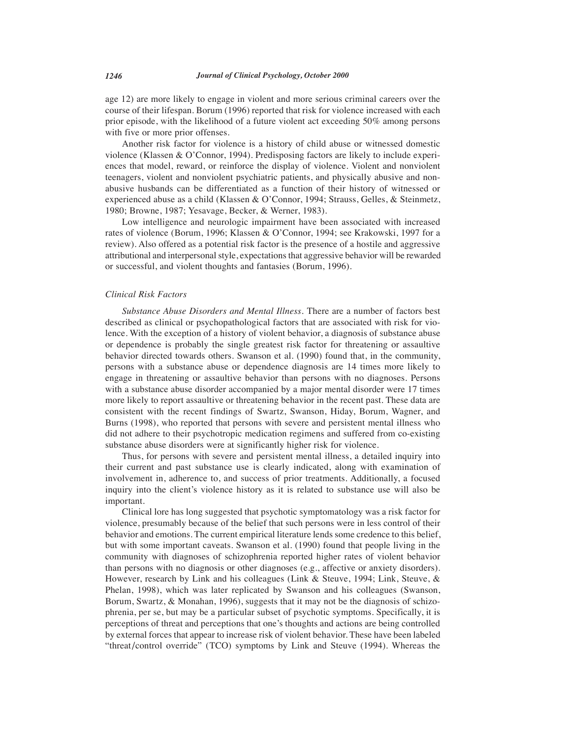age 12) are more likely to engage in violent and more serious criminal careers over the course of their lifespan. Borum (1996) reported that risk for violence increased with each prior episode, with the likelihood of a future violent act exceeding 50% among persons with five or more prior offenses.

Another risk factor for violence is a history of child abuse or witnessed domestic violence (Klassen & O'Connor, 1994). Predisposing factors are likely to include experiences that model, reward, or reinforce the display of violence. Violent and nonviolent teenagers, violent and nonviolent psychiatric patients, and physically abusive and nonabusive husbands can be differentiated as a function of their history of witnessed or experienced abuse as a child (Klassen & O'Connor, 1994; Strauss, Gelles, & Steinmetz, 1980; Browne, 1987; Yesavage, Becker, & Werner, 1983).

Low intelligence and neurologic impairment have been associated with increased rates of violence (Borum, 1996; Klassen & O'Connor, 1994; see Krakowski, 1997 for a review). Also offered as a potential risk factor is the presence of a hostile and aggressive attributional and interpersonal style, expectations that aggressive behavior will be rewarded or successful, and violent thoughts and fantasies (Borum, 1996).

# *Clinical Risk Factors*

*Substance Abuse Disorders and Mental Illness.* There are a number of factors best described as clinical or psychopathological factors that are associated with risk for violence. With the exception of a history of violent behavior, a diagnosis of substance abuse or dependence is probably the single greatest risk factor for threatening or assaultive behavior directed towards others. Swanson et al. (1990) found that, in the community, persons with a substance abuse or dependence diagnosis are 14 times more likely to engage in threatening or assaultive behavior than persons with no diagnoses. Persons with a substance abuse disorder accompanied by a major mental disorder were 17 times more likely to report assaultive or threatening behavior in the recent past. These data are consistent with the recent findings of Swartz, Swanson, Hiday, Borum, Wagner, and Burns (1998), who reported that persons with severe and persistent mental illness who did not adhere to their psychotropic medication regimens and suffered from co-existing substance abuse disorders were at significantly higher risk for violence.

Thus, for persons with severe and persistent mental illness, a detailed inquiry into their current and past substance use is clearly indicated, along with examination of involvement in, adherence to, and success of prior treatments. Additionally, a focused inquiry into the client's violence history as it is related to substance use will also be important.

Clinical lore has long suggested that psychotic symptomatology was a risk factor for violence, presumably because of the belief that such persons were in less control of their behavior and emotions. The current empirical literature lends some credence to this belief, but with some important caveats. Swanson et al. (1990) found that people living in the community with diagnoses of schizophrenia reported higher rates of violent behavior than persons with no diagnosis or other diagnoses (e.g., affective or anxiety disorders). However, research by Link and his colleagues (Link & Steuve, 1994; Link, Steuve, & Phelan, 1998), which was later replicated by Swanson and his colleagues (Swanson, Borum, Swartz, & Monahan, 1996), suggests that it may not be the diagnosis of schizophrenia, per se, but may be a particular subset of psychotic symptoms. Specifically, it is perceptions of threat and perceptions that one's thoughts and actions are being controlled by external forces that appear to increase risk of violent behavior. These have been labeled "threat/control override" (TCO) symptoms by Link and Steuve (1994). Whereas the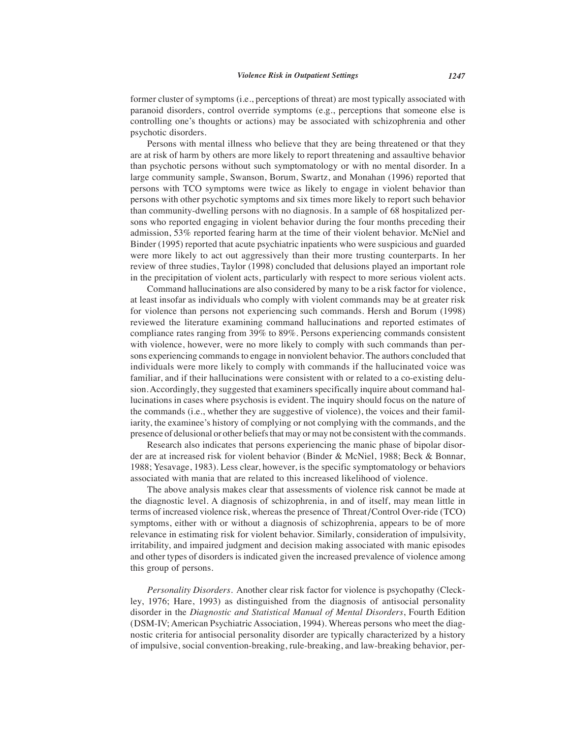former cluster of symptoms (i.e., perceptions of threat) are most typically associated with paranoid disorders, control override symptoms (e.g., perceptions that someone else is controlling one's thoughts or actions) may be associated with schizophrenia and other psychotic disorders.

Persons with mental illness who believe that they are being threatened or that they are at risk of harm by others are more likely to report threatening and assaultive behavior than psychotic persons without such symptomatology or with no mental disorder. In a large community sample, Swanson, Borum, Swartz, and Monahan (1996) reported that persons with TCO symptoms were twice as likely to engage in violent behavior than persons with other psychotic symptoms and six times more likely to report such behavior than community-dwelling persons with no diagnosis. In a sample of 68 hospitalized persons who reported engaging in violent behavior during the four months preceding their admission, 53% reported fearing harm at the time of their violent behavior. McNiel and Binder (1995) reported that acute psychiatric inpatients who were suspicious and guarded were more likely to act out aggressively than their more trusting counterparts. In her review of three studies, Taylor (1998) concluded that delusions played an important role in the precipitation of violent acts, particularly with respect to more serious violent acts.

Command hallucinations are also considered by many to be a risk factor for violence, at least insofar as individuals who comply with violent commands may be at greater risk for violence than persons not experiencing such commands. Hersh and Borum (1998) reviewed the literature examining command hallucinations and reported estimates of compliance rates ranging from 39% to 89%. Persons experiencing commands consistent with violence, however, were no more likely to comply with such commands than persons experiencing commands to engage in nonviolent behavior. The authors concluded that individuals were more likely to comply with commands if the hallucinated voice was familiar, and if their hallucinations were consistent with or related to a co-existing delusion. Accordingly, they suggested that examiners specifically inquire about command hallucinations in cases where psychosis is evident. The inquiry should focus on the nature of the commands (i.e., whether they are suggestive of violence), the voices and their familiarity, the examinee's history of complying or not complying with the commands, and the presence of delusional or other beliefs that may or may not be consistent with the commands.

Research also indicates that persons experiencing the manic phase of bipolar disorder are at increased risk for violent behavior (Binder & McNiel, 1988; Beck & Bonnar, 1988; Yesavage, 1983). Less clear, however, is the specific symptomatology or behaviors associated with mania that are related to this increased likelihood of violence.

The above analysis makes clear that assessments of violence risk cannot be made at the diagnostic level. A diagnosis of schizophrenia, in and of itself, may mean little in terms of increased violence risk, whereas the presence of Threat/Control Over-ride (TCO) symptoms, either with or without a diagnosis of schizophrenia, appears to be of more relevance in estimating risk for violent behavior. Similarly, consideration of impulsivity, irritability, and impaired judgment and decision making associated with manic episodes and other types of disorders is indicated given the increased prevalence of violence among this group of persons.

*Personality Disorders.* Another clear risk factor for violence is psychopathy (Cleckley, 1976; Hare, 1993) as distinguished from the diagnosis of antisocial personality disorder in the *Diagnostic and Statistical Manual of Mental Disorders*, Fourth Edition (DSM-IV; American Psychiatric Association, 1994). Whereas persons who meet the diagnostic criteria for antisocial personality disorder are typically characterized by a history of impulsive, social convention-breaking, rule-breaking, and law-breaking behavior, per-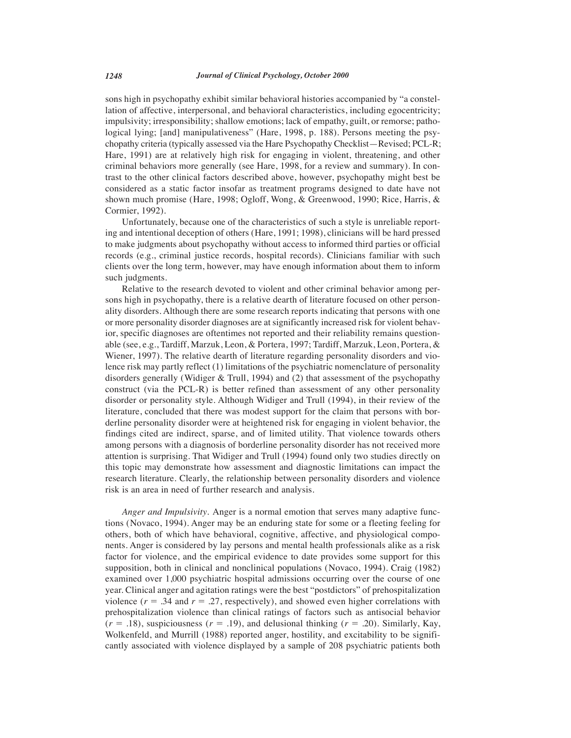sons high in psychopathy exhibit similar behavioral histories accompanied by "a constellation of affective, interpersonal, and behavioral characteristics, including egocentricity; impulsivity; irresponsibility; shallow emotions; lack of empathy, guilt, or remorse; pathological lying; [and] manipulativeness" (Hare, 1998, p. 188). Persons meeting the psychopathy criteria (typically assessed via the Hare Psychopathy Checklist—Revised; PCL-R; Hare, 1991) are at relatively high risk for engaging in violent, threatening, and other criminal behaviors more generally (see Hare, 1998, for a review and summary). In contrast to the other clinical factors described above, however, psychopathy might best be considered as a static factor insofar as treatment programs designed to date have not shown much promise (Hare, 1998; Ogloff, Wong, & Greenwood, 1990; Rice, Harris, & Cormier, 1992).

Unfortunately, because one of the characteristics of such a style is unreliable reporting and intentional deception of others (Hare, 1991; 1998), clinicians will be hard pressed to make judgments about psychopathy without access to informed third parties or official records (e.g., criminal justice records, hospital records). Clinicians familiar with such clients over the long term, however, may have enough information about them to inform such judgments.

Relative to the research devoted to violent and other criminal behavior among persons high in psychopathy, there is a relative dearth of literature focused on other personality disorders. Although there are some research reports indicating that persons with one or more personality disorder diagnoses are at significantly increased risk for violent behavior, specific diagnoses are oftentimes not reported and their reliability remains questionable (see, e.g., Tardiff, Marzuk, Leon, & Portera, 1997; Tardiff, Marzuk, Leon, Portera, & Wiener, 1997). The relative dearth of literature regarding personality disorders and violence risk may partly reflect (1) limitations of the psychiatric nomenclature of personality disorders generally (Widiger & Trull, 1994) and (2) that assessment of the psychopathy construct (via the PCL-R) is better refined than assessment of any other personality disorder or personality style. Although Widiger and Trull (1994), in their review of the literature, concluded that there was modest support for the claim that persons with borderline personality disorder were at heightened risk for engaging in violent behavior, the findings cited are indirect, sparse, and of limited utility. That violence towards others among persons with a diagnosis of borderline personality disorder has not received more attention is surprising. That Widiger and Trull (1994) found only two studies directly on this topic may demonstrate how assessment and diagnostic limitations can impact the research literature. Clearly, the relationship between personality disorders and violence risk is an area in need of further research and analysis.

*Anger and Impulsivity.* Anger is a normal emotion that serves many adaptive functions (Novaco, 1994). Anger may be an enduring state for some or a fleeting feeling for others, both of which have behavioral, cognitive, affective, and physiological components. Anger is considered by lay persons and mental health professionals alike as a risk factor for violence, and the empirical evidence to date provides some support for this supposition, both in clinical and nonclinical populations (Novaco, 1994). Craig (1982) examined over 1,000 psychiatric hospital admissions occurring over the course of one year. Clinical anger and agitation ratings were the best "postdictors" of prehospitalization violence  $(r = .34$  and  $r = .27$ , respectively), and showed even higher correlations with prehospitalization violence than clinical ratings of factors such as antisocial behavior  $(r = .18)$ , suspiciousness  $(r = .19)$ , and delusional thinking  $(r = .20)$ . Similarly, Kay, Wolkenfeld, and Murrill (1988) reported anger, hostility, and excitability to be significantly associated with violence displayed by a sample of 208 psychiatric patients both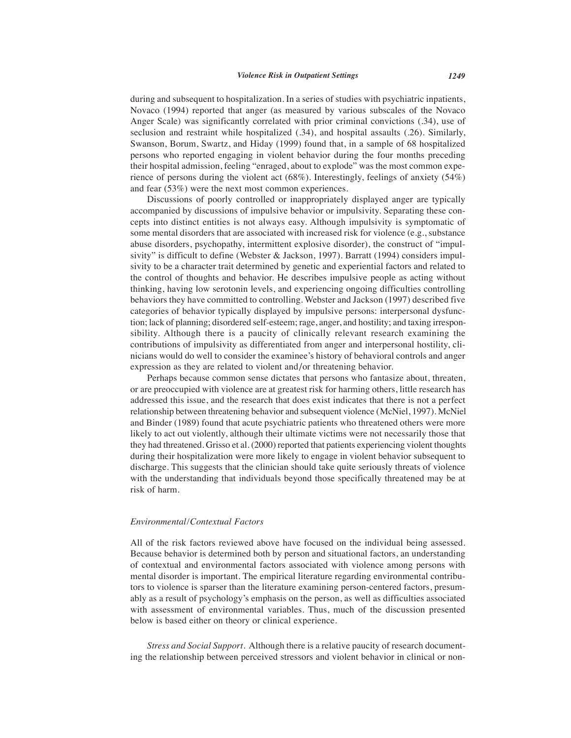during and subsequent to hospitalization. In a series of studies with psychiatric inpatients, Novaco (1994) reported that anger (as measured by various subscales of the Novaco Anger Scale) was significantly correlated with prior criminal convictions (.34), use of seclusion and restraint while hospitalized (.34), and hospital assaults (.26). Similarly, Swanson, Borum, Swartz, and Hiday (1999) found that, in a sample of 68 hospitalized persons who reported engaging in violent behavior during the four months preceding their hospital admission, feeling "enraged, about to explode" was the most common experience of persons during the violent act (68%). Interestingly, feelings of anxiety (54%) and fear (53%) were the next most common experiences.

Discussions of poorly controlled or inappropriately displayed anger are typically accompanied by discussions of impulsive behavior or impulsivity. Separating these concepts into distinct entities is not always easy. Although impulsivity is symptomatic of some mental disorders that are associated with increased risk for violence (e.g., substance abuse disorders, psychopathy, intermittent explosive disorder), the construct of "impulsivity" is difficult to define (Webster & Jackson, 1997). Barratt (1994) considers impulsivity to be a character trait determined by genetic and experiential factors and related to the control of thoughts and behavior. He describes impulsive people as acting without thinking, having low serotonin levels, and experiencing ongoing difficulties controlling behaviors they have committed to controlling. Webster and Jackson (1997) described five categories of behavior typically displayed by impulsive persons: interpersonal dysfunction; lack of planning; disordered self-esteem; rage, anger, and hostility; and taxing irresponsibility. Although there is a paucity of clinically relevant research examining the contributions of impulsivity as differentiated from anger and interpersonal hostility, clinicians would do well to consider the examinee's history of behavioral controls and anger expression as they are related to violent and/or threatening behavior.

Perhaps because common sense dictates that persons who fantasize about, threaten, or are preoccupied with violence are at greatest risk for harming others, little research has addressed this issue, and the research that does exist indicates that there is not a perfect relationship between threatening behavior and subsequent violence (McNiel, 1997). McNiel and Binder (1989) found that acute psychiatric patients who threatened others were more likely to act out violently, although their ultimate victims were not necessarily those that they had threatened. Grisso et al. (2000) reported that patients experiencing violent thoughts during their hospitalization were more likely to engage in violent behavior subsequent to discharge. This suggests that the clinician should take quite seriously threats of violence with the understanding that individuals beyond those specifically threatened may be at risk of harm.

# *Environmental/Contextual Factors*

All of the risk factors reviewed above have focused on the individual being assessed. Because behavior is determined both by person and situational factors, an understanding of contextual and environmental factors associated with violence among persons with mental disorder is important. The empirical literature regarding environmental contributors to violence is sparser than the literature examining person-centered factors, presumably as a result of psychology's emphasis on the person, as well as difficulties associated with assessment of environmental variables. Thus, much of the discussion presented below is based either on theory or clinical experience.

*Stress and Social Support.* Although there is a relative paucity of research documenting the relationship between perceived stressors and violent behavior in clinical or non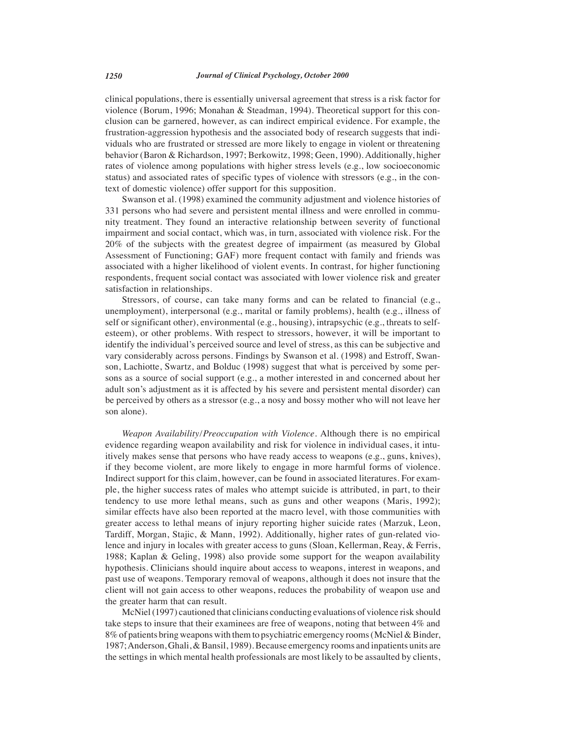clinical populations, there is essentially universal agreement that stress is a risk factor for violence (Borum, 1996; Monahan & Steadman, 1994). Theoretical support for this conclusion can be garnered, however, as can indirect empirical evidence. For example, the frustration-aggression hypothesis and the associated body of research suggests that individuals who are frustrated or stressed are more likely to engage in violent or threatening behavior (Baron & Richardson, 1997; Berkowitz, 1998; Geen, 1990). Additionally, higher rates of violence among populations with higher stress levels (e.g., low socioeconomic status) and associated rates of specific types of violence with stressors (e.g., in the context of domestic violence) offer support for this supposition.

Swanson et al. (1998) examined the community adjustment and violence histories of 331 persons who had severe and persistent mental illness and were enrolled in community treatment. They found an interactive relationship between severity of functional impairment and social contact, which was, in turn, associated with violence risk. For the 20% of the subjects with the greatest degree of impairment (as measured by Global Assessment of Functioning; GAF) more frequent contact with family and friends was associated with a higher likelihood of violent events. In contrast, for higher functioning respondents, frequent social contact was associated with lower violence risk and greater satisfaction in relationships.

Stressors, of course, can take many forms and can be related to financial (e.g., unemployment), interpersonal (e.g., marital or family problems), health (e.g., illness of self or significant other), environmental (e.g., housing), intrapsychic (e.g., threats to selfesteem), or other problems. With respect to stressors, however, it will be important to identify the individual's perceived source and level of stress, as this can be subjective and vary considerably across persons. Findings by Swanson et al. (1998) and Estroff, Swanson, Lachiotte, Swartz, and Bolduc (1998) suggest that what is perceived by some persons as a source of social support (e.g., a mother interested in and concerned about her adult son's adjustment as it is affected by his severe and persistent mental disorder) can be perceived by others as a stressor (e.g., a nosy and bossy mother who will not leave her son alone).

*Weapon Availability/Preoccupation with Violence.* Although there is no empirical evidence regarding weapon availability and risk for violence in individual cases, it intuitively makes sense that persons who have ready access to weapons (e.g., guns, knives), if they become violent, are more likely to engage in more harmful forms of violence. Indirect support for this claim, however, can be found in associated literatures. For example, the higher success rates of males who attempt suicide is attributed, in part, to their tendency to use more lethal means, such as guns and other weapons (Maris, 1992); similar effects have also been reported at the macro level, with those communities with greater access to lethal means of injury reporting higher suicide rates (Marzuk, Leon, Tardiff, Morgan, Stajic, & Mann, 1992). Additionally, higher rates of gun-related violence and injury in locales with greater access to guns (Sloan, Kellerman, Reay, & Ferris, 1988; Kaplan & Geling, 1998) also provide some support for the weapon availability hypothesis. Clinicians should inquire about access to weapons, interest in weapons, and past use of weapons. Temporary removal of weapons, although it does not insure that the client will not gain access to other weapons, reduces the probability of weapon use and the greater harm that can result.

McNiel (1997) cautioned that clinicians conducting evaluations of violence risk should take steps to insure that their examinees are free of weapons, noting that between 4% and 8% of patients bring weapons with them to psychiatric emergency rooms (McNiel & Binder, 1987;Anderson, Ghali, & Bansil, 1989). Because emergency rooms and inpatients units are the settings in which mental health professionals are most likely to be assaulted by clients,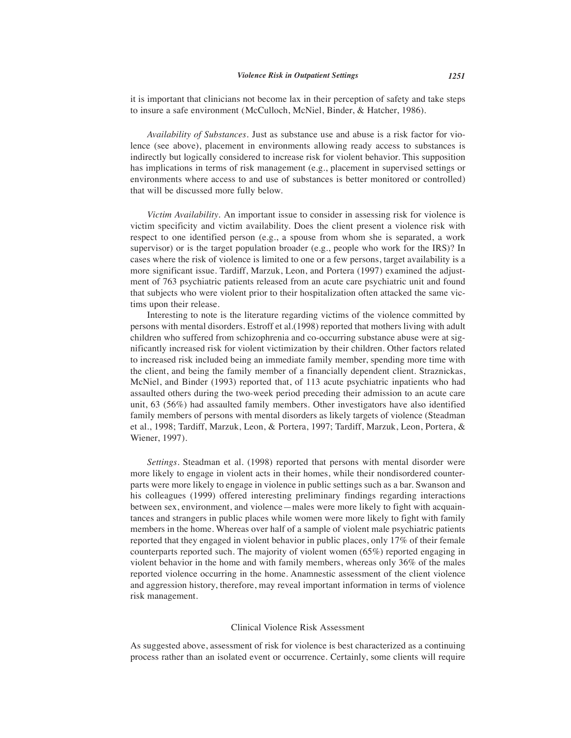it is important that clinicians not become lax in their perception of safety and take steps to insure a safe environment (McCulloch, McNiel, Binder, & Hatcher, 1986).

*Availability of Substances.* Just as substance use and abuse is a risk factor for violence (see above), placement in environments allowing ready access to substances is indirectly but logically considered to increase risk for violent behavior. This supposition has implications in terms of risk management (e.g., placement in supervised settings or environments where access to and use of substances is better monitored or controlled) that will be discussed more fully below.

*Victim Availability.* An important issue to consider in assessing risk for violence is victim specificity and victim availability. Does the client present a violence risk with respect to one identified person (e.g., a spouse from whom she is separated, a work supervisor) or is the target population broader (e.g., people who work for the IRS)? In cases where the risk of violence is limited to one or a few persons, target availability is a more significant issue. Tardiff, Marzuk, Leon, and Portera (1997) examined the adjustment of 763 psychiatric patients released from an acute care psychiatric unit and found that subjects who were violent prior to their hospitalization often attacked the same victims upon their release.

Interesting to note is the literature regarding victims of the violence committed by persons with mental disorders. Estroff et al.(1998) reported that mothers living with adult children who suffered from schizophrenia and co-occurring substance abuse were at significantly increased risk for violent victimization by their children. Other factors related to increased risk included being an immediate family member, spending more time with the client, and being the family member of a financially dependent client. Straznickas, McNiel, and Binder (1993) reported that, of 113 acute psychiatric inpatients who had assaulted others during the two-week period preceding their admission to an acute care unit, 63 (56%) had assaulted family members. Other investigators have also identified family members of persons with mental disorders as likely targets of violence (Steadman et al., 1998; Tardiff, Marzuk, Leon, & Portera, 1997; Tardiff, Marzuk, Leon, Portera, & Wiener, 1997).

*Settings.* Steadman et al. (1998) reported that persons with mental disorder were more likely to engage in violent acts in their homes, while their nondisordered counterparts were more likely to engage in violence in public settings such as a bar. Swanson and his colleagues (1999) offered interesting preliminary findings regarding interactions between sex, environment, and violence—males were more likely to fight with acquaintances and strangers in public places while women were more likely to fight with family members in the home. Whereas over half of a sample of violent male psychiatric patients reported that they engaged in violent behavior in public places, only 17% of their female counterparts reported such. The majority of violent women (65%) reported engaging in violent behavior in the home and with family members, whereas only 36% of the males reported violence occurring in the home. Anamnestic assessment of the client violence and aggression history, therefore, may reveal important information in terms of violence risk management.

#### Clinical Violence Risk Assessment

As suggested above, assessment of risk for violence is best characterized as a continuing process rather than an isolated event or occurrence. Certainly, some clients will require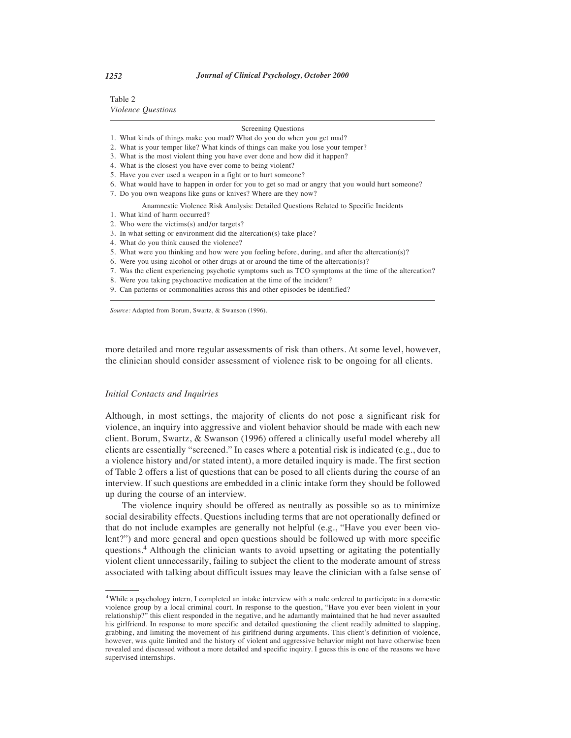# Table 2 *Violence Questions*

#### Screening Questions

- 1. What kinds of things make you mad? What do you do when you get mad?
- 2. What is your temper like? What kinds of things can make you lose your temper?
- 3. What is the most violent thing you have ever done and how did it happen?
- 4. What is the closest you have ever come to being violent?
- 5. Have you ever used a weapon in a fight or to hurt someone?
- 6. What would have to happen in order for you to get so mad or angry that you would hurt someone?
- 7. Do you own weapons like guns or knives? Where are they now?

Anamnestic Violence Risk Analysis: Detailed Questions Related to Specific Incidents

- 1. What kind of harm occurred?
- 2. Who were the victims(s) and/or targets?
- 3. In what setting or environment did the altercation(s) take place?
- 4. What do you think caused the violence?
- 5. What were you thinking and how were you feeling before, during, and after the altercation(s)?
- 6. Were you using alcohol or other drugs at or around the time of the altercation(s)?
- 7. Was the client experiencing psychotic symptoms such as TCO symptoms at the time of the altercation?
- 8. Were you taking psychoactive medication at the time of the incident?
- 9. Can patterns or commonalities across this and other episodes be identified?

*Source:* Adapted from Borum, Swartz, & Swanson (1996).

more detailed and more regular assessments of risk than others. At some level, however, the clinician should consider assessment of violence risk to be ongoing for all clients.

# *Initial Contacts and Inquiries*

Although, in most settings, the majority of clients do not pose a significant risk for violence, an inquiry into aggressive and violent behavior should be made with each new client. Borum, Swartz, & Swanson (1996) offered a clinically useful model whereby all clients are essentially "screened." In cases where a potential risk is indicated (e.g., due to a violence history and/or stated intent), a more detailed inquiry is made. The first section of Table 2 offers a list of questions that can be posed to all clients during the course of an interview. If such questions are embedded in a clinic intake form they should be followed up during the course of an interview.

The violence inquiry should be offered as neutrally as possible so as to minimize social desirability effects. Questions including terms that are not operationally defined or that do not include examples are generally not helpful (e.g., "Have you ever been violent?") and more general and open questions should be followed up with more specific questions.<sup>4</sup> Although the clinician wants to avoid upsetting or agitating the potentially violent client unnecessarily, failing to subject the client to the moderate amount of stress associated with talking about difficult issues may leave the clinician with a false sense of

<sup>4</sup>While a psychology intern, I completed an intake interview with a male ordered to participate in a domestic violence group by a local criminal court. In response to the question, "Have you ever been violent in your relationship?" this client responded in the negative, and he adamantly maintained that he had never assaulted his girlfriend. In response to more specific and detailed questioning the client readily admitted to slapping, grabbing, and limiting the movement of his girlfriend during arguments. This client's definition of violence, however, was quite limited and the history of violent and aggressive behavior might not have otherwise been revealed and discussed without a more detailed and specific inquiry. I guess this is one of the reasons we have supervised internships.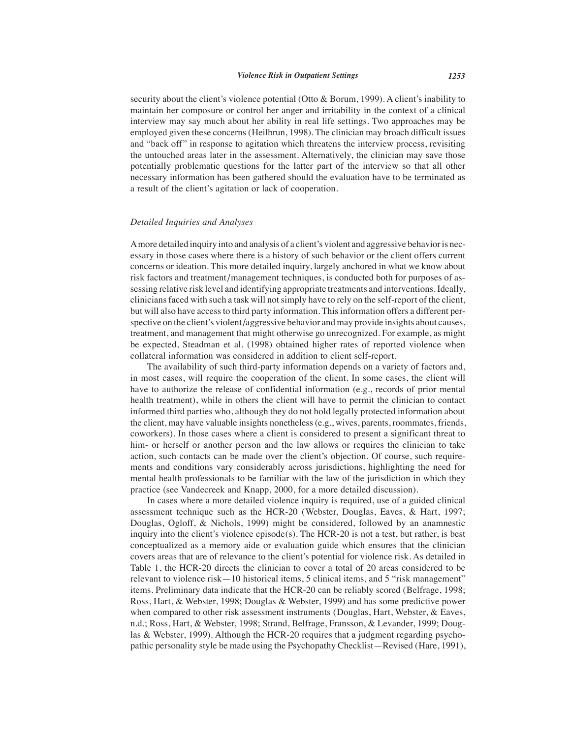security about the client's violence potential (Otto & Borum, 1999). A client's inability to maintain her composure or control her anger and irritability in the context of a clinical interview may say much about her ability in real life settings. Two approaches may be employed given these concerns (Heilbrun, 1998). The clinician may broach difficult issues and "back off" in response to agitation which threatens the interview process, revisiting the untouched areas later in the assessment. Alternatively, the clinician may save those potentially problematic questions for the latter part of the interview so that all other necessary information has been gathered should the evaluation have to be terminated as a result of the client's agitation or lack of cooperation.

# *Detailed Inquiries and Analyses*

Amore detailed inquiry into and analysis of a client's violent and aggressive behavior is necessary in those cases where there is a history of such behavior or the client offers current concerns or ideation. This more detailed inquiry, largely anchored in what we know about risk factors and treatment/management techniques, is conducted both for purposes of assessing relative risk level and identifying appropriate treatments and interventions. Ideally, clinicians faced with such a task will not simply have to rely on the self-report of the client, but will also have access to third party information. This information offers a different perspective on the client's violent/aggressive behavior and may provide insights about causes, treatment, and management that might otherwise go unrecognized. For example, as might be expected, Steadman et al. (1998) obtained higher rates of reported violence when collateral information was considered in addition to client self-report.

The availability of such third-party information depends on a variety of factors and, in most cases, will require the cooperation of the client. In some cases, the client will have to authorize the release of confidential information (e.g., records of prior mental health treatment), while in others the client will have to permit the clinician to contact informed third parties who, although they do not hold legally protected information about the client, may have valuable insights nonetheless (e.g., wives, parents, roommates, friends, coworkers). In those cases where a client is considered to present a significant threat to him- or herself or another person and the law allows or requires the clinician to take action, such contacts can be made over the client's objection. Of course, such requirements and conditions vary considerably across jurisdictions, highlighting the need for mental health professionals to be familiar with the law of the jurisdiction in which they practice (see Vandecreek and Knapp, 2000, for a more detailed discussion).

In cases where a more detailed violence inquiry is required, use of a guided clinical assessment technique such as the HCR-20 (Webster, Douglas, Eaves, & Hart, 1997; Douglas, Ogloff, & Nichols, 1999) might be considered, followed by an anamnestic inquiry into the client's violence episode(s). The HCR-20 is not a test, but rather, is best conceptualized as a memory aide or evaluation guide which ensures that the clinician covers areas that are of relevance to the client's potential for violence risk. As detailed in Table 1, the HCR-20 directs the clinician to cover a total of 20 areas considered to be relevant to violence risk—10 historical items, 5 clinical items, and 5 "risk management" items. Preliminary data indicate that the HCR-20 can be reliably scored (Belfrage, 1998; Ross, Hart, & Webster, 1998; Douglas & Webster, 1999) and has some predictive power when compared to other risk assessment instruments (Douglas, Hart, Webster, & Eaves, n.d.; Ross, Hart, & Webster, 1998; Strand, Belfrage, Fransson, & Levander, 1999; Douglas & Webster, 1999). Although the HCR-20 requires that a judgment regarding psychopathic personality style be made using the Psychopathy Checklist—Revised (Hare, 1991),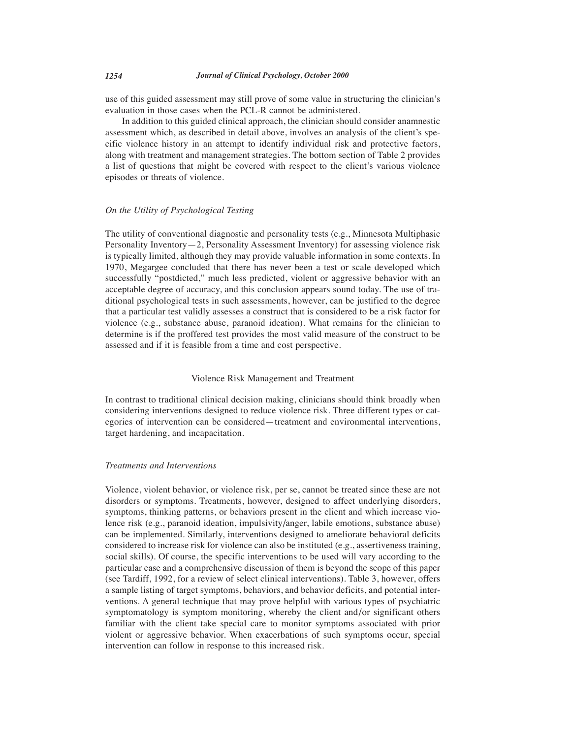use of this guided assessment may still prove of some value in structuring the clinician's evaluation in those cases when the PCL-R cannot be administered.

In addition to this guided clinical approach, the clinician should consider anamnestic assessment which, as described in detail above, involves an analysis of the client's specific violence history in an attempt to identify individual risk and protective factors, along with treatment and management strategies. The bottom section of Table 2 provides a list of questions that might be covered with respect to the client's various violence episodes or threats of violence.

# *On the Utility of Psychological Testing*

The utility of conventional diagnostic and personality tests (e.g., Minnesota Multiphasic Personality Inventory—2, Personality Assessment Inventory) for assessing violence risk is typically limited, although they may provide valuable information in some contexts. In 1970, Megargee concluded that there has never been a test or scale developed which successfully "postdicted," much less predicted, violent or aggressive behavior with an acceptable degree of accuracy, and this conclusion appears sound today. The use of traditional psychological tests in such assessments, however, can be justified to the degree that a particular test validly assesses a construct that is considered to be a risk factor for violence (e.g., substance abuse, paranoid ideation). What remains for the clinician to determine is if the proffered test provides the most valid measure of the construct to be assessed and if it is feasible from a time and cost perspective.

# Violence Risk Management and Treatment

In contrast to traditional clinical decision making, clinicians should think broadly when considering interventions designed to reduce violence risk. Three different types or categories of intervention can be considered—treatment and environmental interventions, target hardening, and incapacitation.

# *Treatments and Interventions*

Violence, violent behavior, or violence risk, per se, cannot be treated since these are not disorders or symptoms. Treatments, however, designed to affect underlying disorders, symptoms, thinking patterns, or behaviors present in the client and which increase violence risk (e.g., paranoid ideation, impulsivity/anger, labile emotions, substance abuse) can be implemented. Similarly, interventions designed to ameliorate behavioral deficits considered to increase risk for violence can also be instituted (e.g., assertiveness training, social skills). Of course, the specific interventions to be used will vary according to the particular case and a comprehensive discussion of them is beyond the scope of this paper (see Tardiff, 1992, for a review of select clinical interventions). Table 3, however, offers a sample listing of target symptoms, behaviors, and behavior deficits, and potential interventions. A general technique that may prove helpful with various types of psychiatric symptomatology is symptom monitoring, whereby the client and/or significant others familiar with the client take special care to monitor symptoms associated with prior violent or aggressive behavior. When exacerbations of such symptoms occur, special intervention can follow in response to this increased risk.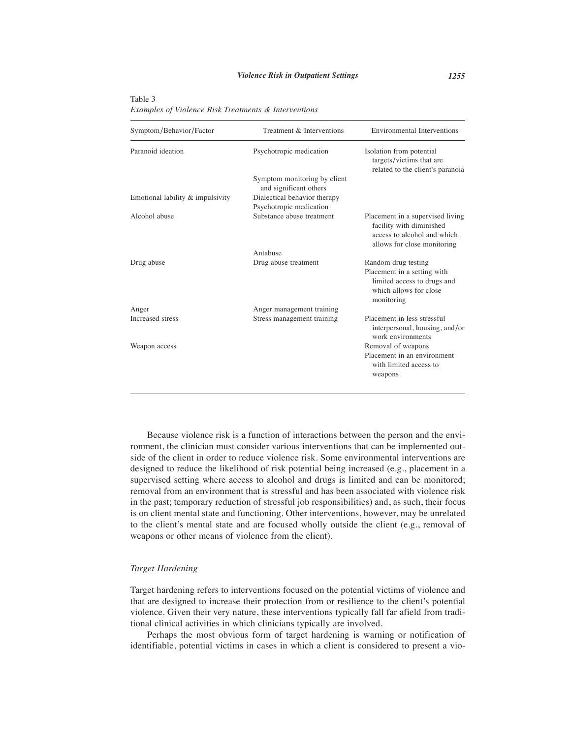| Symptom/Behavior/Factor          | Treatment & Interventions                               | <b>Environmental Interventions</b>                                                                                         |
|----------------------------------|---------------------------------------------------------|----------------------------------------------------------------------------------------------------------------------------|
| Paranoid ideation                | Psychotropic medication                                 | Isolation from potential<br>targets/victims that are<br>related to the client's paranoia                                   |
|                                  | Symptom monitoring by client<br>and significant others  |                                                                                                                            |
| Emotional lability & impulsivity | Dialectical behavior therapy<br>Psychotropic medication |                                                                                                                            |
| Alcohol abuse                    | Substance abuse treatment                               | Placement in a supervised living<br>facility with diminished<br>access to alcohol and which<br>allows for close monitoring |
|                                  | Antabuse                                                |                                                                                                                            |
| Drug abuse                       | Drug abuse treatment                                    | Random drug testing<br>Placement in a setting with<br>limited access to drugs and<br>which allows for close<br>monitoring  |
| Anger                            | Anger management training                               |                                                                                                                            |
| Increased stress                 | Stress management training                              | Placement in less stressful<br>interpersonal, housing, and/or<br>work environments                                         |
| Weapon access                    |                                                         | Removal of weapons                                                                                                         |
|                                  |                                                         | Placement in an environment<br>with limited access to<br>weapons                                                           |
|                                  |                                                         |                                                                                                                            |

Table 3 *Examples of Violence Risk Treatments & Interventions*

Because violence risk is a function of interactions between the person and the environment, the clinician must consider various interventions that can be implemented outside of the client in order to reduce violence risk. Some environmental interventions are designed to reduce the likelihood of risk potential being increased (e.g., placement in a supervised setting where access to alcohol and drugs is limited and can be monitored; removal from an environment that is stressful and has been associated with violence risk in the past; temporary reduction of stressful job responsibilities) and, as such, their focus is on client mental state and functioning. Other interventions, however, may be unrelated to the client's mental state and are focused wholly outside the client (e.g., removal of weapons or other means of violence from the client).

# *Target Hardening*

Target hardening refers to interventions focused on the potential victims of violence and that are designed to increase their protection from or resilience to the client's potential violence. Given their very nature, these interventions typically fall far afield from traditional clinical activities in which clinicians typically are involved.

Perhaps the most obvious form of target hardening is warning or notification of identifiable, potential victims in cases in which a client is considered to present a vio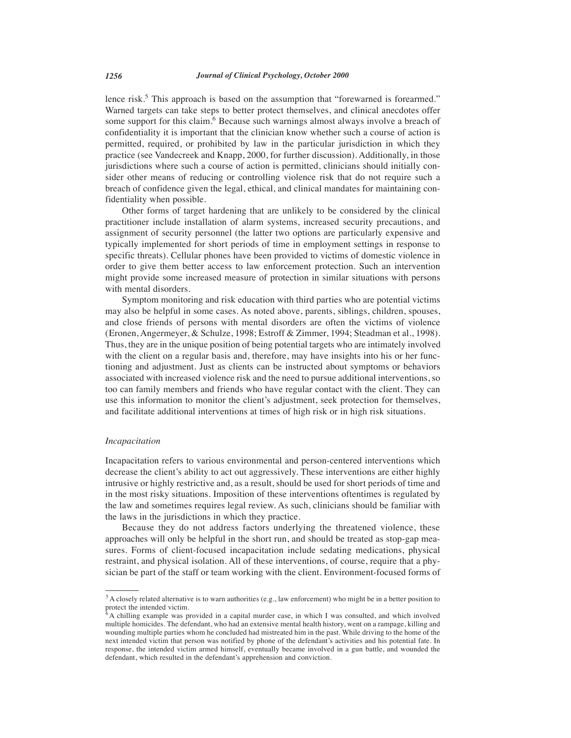lence risk.<sup>5</sup> This approach is based on the assumption that "forewarned is forearmed." Warned targets can take steps to better protect themselves, and clinical anecdotes offer some support for this claim.<sup>6</sup> Because such warnings almost always involve a breach of confidentiality it is important that the clinician know whether such a course of action is permitted, required, or prohibited by law in the particular jurisdiction in which they practice (see Vandecreek and Knapp, 2000, for further discussion). Additionally, in those jurisdictions where such a course of action is permitted, clinicians should initially consider other means of reducing or controlling violence risk that do not require such a breach of confidence given the legal, ethical, and clinical mandates for maintaining confidentiality when possible.

Other forms of target hardening that are unlikely to be considered by the clinical practitioner include installation of alarm systems, increased security precautions, and assignment of security personnel (the latter two options are particularly expensive and typically implemented for short periods of time in employment settings in response to specific threats). Cellular phones have been provided to victims of domestic violence in order to give them better access to law enforcement protection. Such an intervention might provide some increased measure of protection in similar situations with persons with mental disorders.

Symptom monitoring and risk education with third parties who are potential victims may also be helpful in some cases. As noted above, parents, siblings, children, spouses, and close friends of persons with mental disorders are often the victims of violence (Eronen, Angermeyer, & Schulze, 1998; Estroff & Zimmer, 1994; Steadman et al., 1998). Thus, they are in the unique position of being potential targets who are intimately involved with the client on a regular basis and, therefore, may have insights into his or her functioning and adjustment. Just as clients can be instructed about symptoms or behaviors associated with increased violence risk and the need to pursue additional interventions, so too can family members and friends who have regular contact with the client. They can use this information to monitor the client's adjustment, seek protection for themselves, and facilitate additional interventions at times of high risk or in high risk situations.

# *Incapacitation*

Incapacitation refers to various environmental and person-centered interventions which decrease the client's ability to act out aggressively. These interventions are either highly intrusive or highly restrictive and, as a result, should be used for short periods of time and in the most risky situations. Imposition of these interventions oftentimes is regulated by the law and sometimes requires legal review. As such, clinicians should be familiar with the laws in the jurisdictions in which they practice.

Because they do not address factors underlying the threatened violence, these approaches will only be helpful in the short run, and should be treated as stop-gap measures. Forms of client-focused incapacitation include sedating medications, physical restraint, and physical isolation. All of these interventions, of course, require that a physician be part of the staff or team working with the client. Environment-focused forms of

 $5A$  closely related alternative is to warn authorities (e.g., law enforcement) who might be in a better position to protect the intended victim.

 $6A$  chilling example was provided in a capital murder case, in which I was consulted, and which involved multiple homicides. The defendant, who had an extensive mental health history, went on a rampage, killing and wounding multiple parties whom he concluded had mistreated him in the past. While driving to the home of the next intended victim that person was notified by phone of the defendant's activities and his potential fate. In response, the intended victim armed himself, eventually became involved in a gun battle, and wounded the defendant, which resulted in the defendant's apprehension and conviction.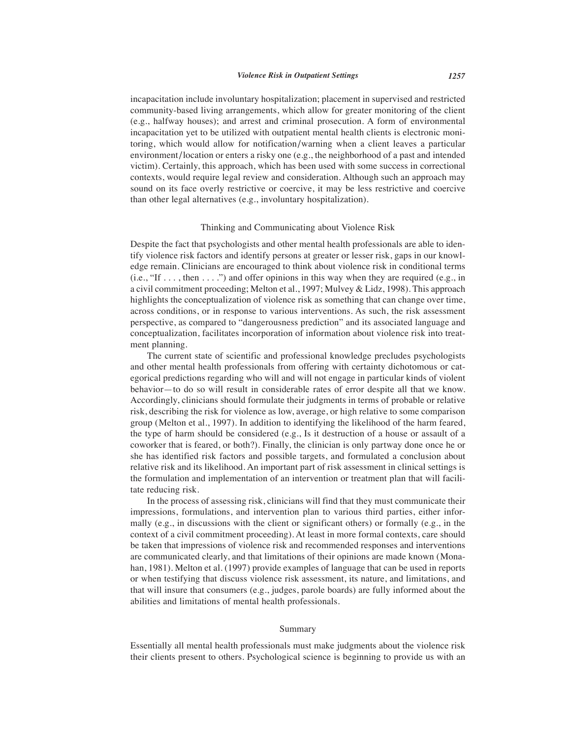incapacitation include involuntary hospitalization; placement in supervised and restricted community-based living arrangements, which allow for greater monitoring of the client (e.g., halfway houses); and arrest and criminal prosecution. A form of environmental incapacitation yet to be utilized with outpatient mental health clients is electronic monitoring, which would allow for notification/warning when a client leaves a particular environment/location or enters a risky one (e.g., the neighborhood of a past and intended victim). Certainly, this approach, which has been used with some success in correctional contexts, would require legal review and consideration. Although such an approach may sound on its face overly restrictive or coercive, it may be less restrictive and coercive than other legal alternatives (e.g., involuntary hospitalization).

# Thinking and Communicating about Violence Risk

Despite the fact that psychologists and other mental health professionals are able to identify violence risk factors and identify persons at greater or lesser risk, gaps in our knowledge remain. Clinicians are encouraged to think about violence risk in conditional terms  $(i.e., "If ..., then ...")$  and offer opinions in this way when they are required  $(e.g., in)$ a civil commitment proceeding; Melton et al., 1997; Mulvey & Lidz, 1998). This approach highlights the conceptualization of violence risk as something that can change over time, across conditions, or in response to various interventions. As such, the risk assessment perspective, as compared to "dangerousness prediction" and its associated language and conceptualization, facilitates incorporation of information about violence risk into treatment planning.

The current state of scientific and professional knowledge precludes psychologists and other mental health professionals from offering with certainty dichotomous or categorical predictions regarding who will and will not engage in particular kinds of violent behavior—to do so will result in considerable rates of error despite all that we know. Accordingly, clinicians should formulate their judgments in terms of probable or relative risk, describing the risk for violence as low, average, or high relative to some comparison group (Melton et al., 1997). In addition to identifying the likelihood of the harm feared, the type of harm should be considered (e.g., Is it destruction of a house or assault of a coworker that is feared, or both?). Finally, the clinician is only partway done once he or she has identified risk factors and possible targets, and formulated a conclusion about relative risk and its likelihood. An important part of risk assessment in clinical settings is the formulation and implementation of an intervention or treatment plan that will facilitate reducing risk.

In the process of assessing risk, clinicians will find that they must communicate their impressions, formulations, and intervention plan to various third parties, either informally (e.g., in discussions with the client or significant others) or formally (e.g., in the context of a civil commitment proceeding). At least in more formal contexts, care should be taken that impressions of violence risk and recommended responses and interventions are communicated clearly, and that limitations of their opinions are made known (Monahan, 1981). Melton et al. (1997) provide examples of language that can be used in reports or when testifying that discuss violence risk assessment, its nature, and limitations, and that will insure that consumers (e.g., judges, parole boards) are fully informed about the abilities and limitations of mental health professionals.

#### Summary

Essentially all mental health professionals must make judgments about the violence risk their clients present to others. Psychological science is beginning to provide us with an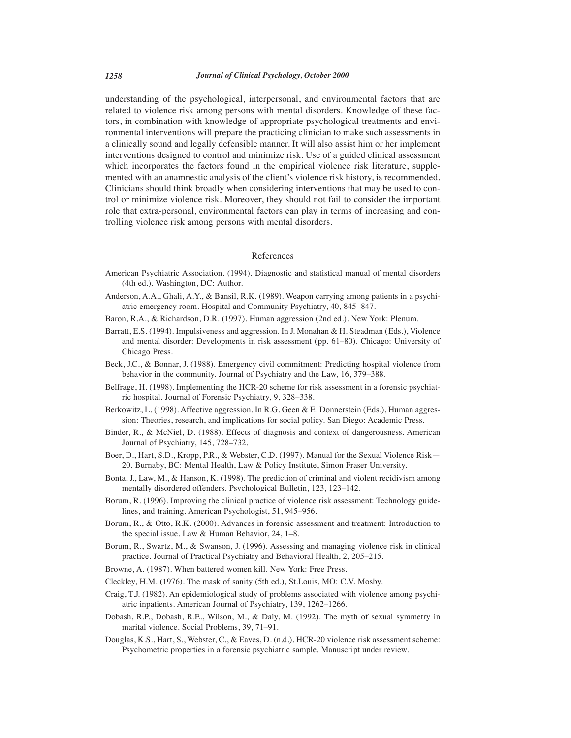understanding of the psychological, interpersonal, and environmental factors that are related to violence risk among persons with mental disorders. Knowledge of these factors, in combination with knowledge of appropriate psychological treatments and environmental interventions will prepare the practicing clinician to make such assessments in a clinically sound and legally defensible manner. It will also assist him or her implement interventions designed to control and minimize risk. Use of a guided clinical assessment which incorporates the factors found in the empirical violence risk literature, supplemented with an anamnestic analysis of the client's violence risk history, is recommended. Clinicians should think broadly when considering interventions that may be used to control or minimize violence risk. Moreover, they should not fail to consider the important role that extra-personal, environmental factors can play in terms of increasing and controlling violence risk among persons with mental disorders.

## References

- American Psychiatric Association. (1994). Diagnostic and statistical manual of mental disorders (4th ed.). Washington, DC: Author.
- Anderson, A.A., Ghali, A.Y., & Bansil, R.K. (1989). Weapon carrying among patients in a psychiatric emergency room. Hospital and Community Psychiatry, 40, 845–847.
- Baron, R.A., & Richardson, D.R. (1997). Human aggression (2nd ed.). New York: Plenum.
- Barratt, E.S. (1994). Impulsiveness and aggression. In J. Monahan & H. Steadman (Eds.), Violence and mental disorder: Developments in risk assessment (pp. 61–80). Chicago: University of Chicago Press.
- Beck, J.C., & Bonnar, J. (1988). Emergency civil commitment: Predicting hospital violence from behavior in the community. Journal of Psychiatry and the Law, 16, 379–388.
- Belfrage, H. (1998). Implementing the HCR-20 scheme for risk assessment in a forensic psychiatric hospital. Journal of Forensic Psychiatry, 9, 328–338.
- Berkowitz, L. (1998). Affective aggression. In R.G. Geen & E. Donnerstein (Eds.), Human aggression: Theories, research, and implications for social policy. San Diego: Academic Press.
- Binder, R., & McNiel, D. (1988). Effects of diagnosis and context of dangerousness. American Journal of Psychiatry, 145, 728–732.
- Boer, D., Hart, S.D., Kropp, P.R., & Webster, C.D. (1997). Manual for the Sexual Violence Risk— 20. Burnaby, BC: Mental Health, Law & Policy Institute, Simon Fraser University.
- Bonta, J., Law, M., & Hanson, K. (1998). The prediction of criminal and violent recidivism among mentally disordered offenders. Psychological Bulletin, 123, 123–142.
- Borum, R. (1996). Improving the clinical practice of violence risk assessment: Technology guidelines, and training. American Psychologist, 51, 945–956.
- Borum, R., & Otto, R.K. (2000). Advances in forensic assessment and treatment: Introduction to the special issue. Law & Human Behavior, 24, 1–8.
- Borum, R., Swartz, M., & Swanson, J. (1996). Assessing and managing violence risk in clinical practice. Journal of Practical Psychiatry and Behavioral Health, 2, 205–215.
- Browne, A. (1987). When battered women kill. New York: Free Press.
- Cleckley, H.M. (1976). The mask of sanity (5th ed.), St.Louis, MO: C.V. Mosby.
- Craig, T.J. (1982). An epidemiological study of problems associated with violence among psychiatric inpatients. American Journal of Psychiatry, 139, 1262–1266.
- Dobash, R.P., Dobash, R.E., Wilson, M., & Daly, M. (1992). The myth of sexual symmetry in marital violence. Social Problems, 39, 71–91.
- Douglas, K.S., Hart, S., Webster, C., & Eaves, D. (n.d.). HCR-20 violence risk assessment scheme: Psychometric properties in a forensic psychiatric sample. Manuscript under review.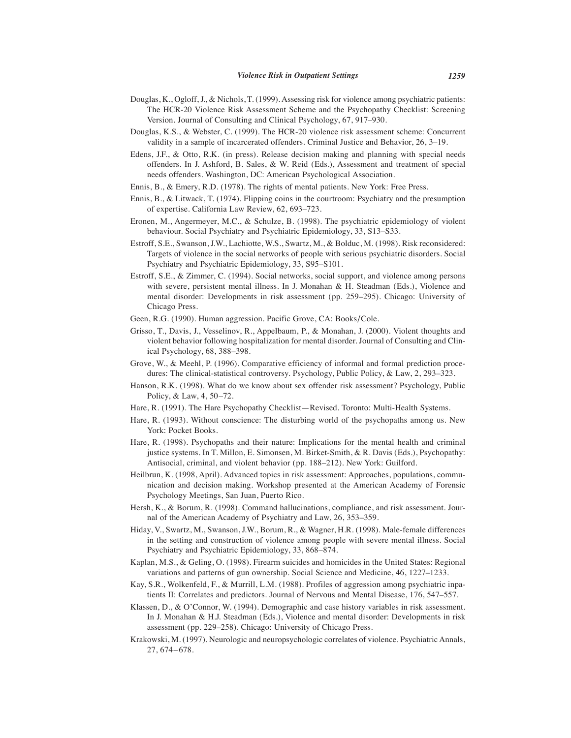- Douglas, K., Ogloff, J., & Nichols, T. (1999). Assessing risk for violence among psychiatric patients: The HCR-20 Violence Risk Assessment Scheme and the Psychopathy Checklist: Screening Version. Journal of Consulting and Clinical Psychology, 67, 917–930.
- Douglas, K.S., & Webster, C. (1999). The HCR-20 violence risk assessment scheme: Concurrent validity in a sample of incarcerated offenders. Criminal Justice and Behavior, 26, 3–19.
- Edens, J.F., & Otto, R.K. (in press). Release decision making and planning with special needs offenders. In J. Ashford, B. Sales, & W. Reid (Eds.), Assessment and treatment of special needs offenders. Washington, DC: American Psychological Association.
- Ennis, B., & Emery, R.D. (1978). The rights of mental patients. New York: Free Press.
- Ennis, B., & Litwack, T. (1974). Flipping coins in the courtroom: Psychiatry and the presumption of expertise. California Law Review, 62, 693–723.
- Eronen, M., Angermeyer, M.C., & Schulze, B. (1998). The psychiatric epidemiology of violent behaviour. Social Psychiatry and Psychiatric Epidemiology, 33, S13–S33.
- Estroff, S.E., Swanson, J.W., Lachiotte, W.S., Swartz, M., & Bolduc, M. (1998). Risk reconsidered: Targets of violence in the social networks of people with serious psychiatric disorders. Social Psychiatry and Psychiatric Epidemiology, 33, S95–S101.
- Estroff, S.E., & Zimmer, C. (1994). Social networks, social support, and violence among persons with severe, persistent mental illness. In J. Monahan & H. Steadman (Eds.), Violence and mental disorder: Developments in risk assessment (pp. 259–295). Chicago: University of Chicago Press.
- Geen, R.G. (1990). Human aggression. Pacific Grove, CA: Books/Cole.
- Grisso, T., Davis, J., Vesselinov, R., Appelbaum, P., & Monahan, J. (2000). Violent thoughts and violent behavior following hospitalization for mental disorder. Journal of Consulting and Clinical Psychology, 68, 388–398.
- Grove, W., & Meehl, P. (1996). Comparative efficiency of informal and formal prediction procedures: The clinical-statistical controversy. Psychology, Public Policy, & Law, 2, 293–323.
- Hanson, R.K. (1998). What do we know about sex offender risk assessment? Psychology, Public Policy, & Law, 4, 50–72.
- Hare, R. (1991). The Hare Psychopathy Checklist—Revised. Toronto: Multi-Health Systems.
- Hare, R. (1993). Without conscience: The disturbing world of the psychopaths among us. New York: Pocket Books.
- Hare, R. (1998). Psychopaths and their nature: Implications for the mental health and criminal justice systems. In T. Millon, E. Simonsen, M. Birket-Smith, & R. Davis (Eds.), Psychopathy: Antisocial, criminal, and violent behavior (pp. 188–212). New York: Guilford.
- Heilbrun, K. (1998, April). Advanced topics in risk assessment: Approaches, populations, communication and decision making. Workshop presented at the American Academy of Forensic Psychology Meetings, San Juan, Puerto Rico.
- Hersh, K., & Borum, R. (1998). Command hallucinations, compliance, and risk assessment. Journal of the American Academy of Psychiatry and Law, 26, 353–359.
- Hiday, V., Swartz, M., Swanson, J.W., Borum, R., & Wagner, H.R. (1998). Male-female differences in the setting and construction of violence among people with severe mental illness. Social Psychiatry and Psychiatric Epidemiology, 33, 868–874.
- Kaplan, M.S., & Geling, O. (1998). Firearm suicides and homicides in the United States: Regional variations and patterns of gun ownership. Social Science and Medicine, 46, 1227–1233.
- Kay, S.R., Wolkenfeld, F., & Murrill, L.M. (1988). Profiles of aggression among psychiatric inpatients II: Correlates and predictors. Journal of Nervous and Mental Disease, 176, 547–557.
- Klassen, D., & O'Connor, W. (1994). Demographic and case history variables in risk assessment. In J. Monahan & H.J. Steadman (Eds.), Violence and mental disorder: Developments in risk assessment (pp. 229–258). Chicago: University of Chicago Press.
- Krakowski, M. (1997). Neurologic and neuropsychologic correlates of violence. Psychiatric Annals, 27, 674– 678.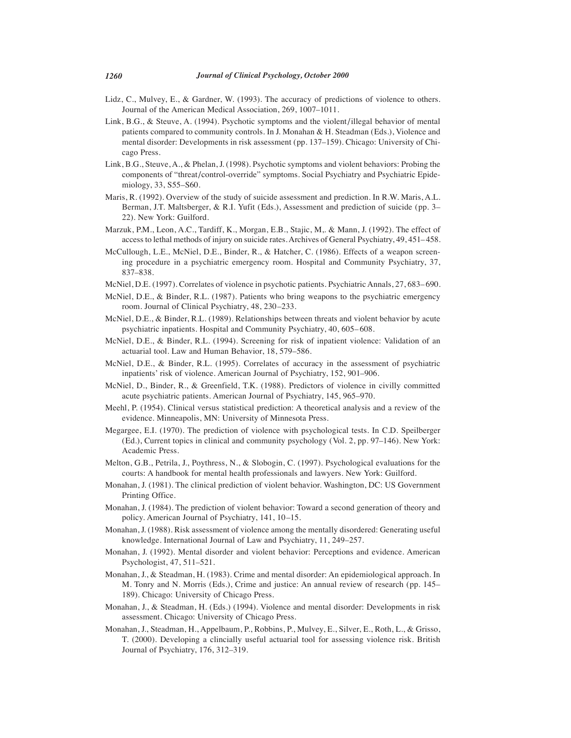- Lidz, C., Mulvey, E., & Gardner, W. (1993). The accuracy of predictions of violence to others. Journal of the American Medical Association, 269, 1007–1011.
- Link, B.G., & Steuve, A. (1994). Psychotic symptoms and the violent/illegal behavior of mental patients compared to community controls. In J. Monahan & H. Steadman (Eds.), Violence and mental disorder: Developments in risk assessment (pp. 137–159). Chicago: University of Chicago Press.
- Link, B.G., Steuve, A., & Phelan, J. (1998). Psychotic symptoms and violent behaviors: Probing the components of "threat/control-override" symptoms. Social Psychiatry and Psychiatric Epidemiology, 33, S55–S60.
- Maris, R. (1992). Overview of the study of suicide assessment and prediction. In R.W. Maris, A.L. Berman, J.T. Maltsberger, & R.I. Yufit (Eds.), Assessment and prediction of suicide (pp. 3– 22). New York: Guilford.
- Marzuk, P.M., Leon, A.C., Tardiff, K., Morgan, E.B., Stajic, M,. & Mann, J. (1992). The effect of access to lethal methods of injury on suicide rates. Archives of General Psychiatry, 49, 451– 458.
- McCullough, L.E., McNiel, D.E., Binder, R., & Hatcher, C. (1986). Effects of a weapon screening procedure in a psychiatric emergency room. Hospital and Community Psychiatry, 37, 837–838.
- McNiel, D.E. (1997). Correlates of violence in psychotic patients. Psychiatric Annals, 27, 683– 690.
- McNiel, D.E., & Binder, R.L. (1987). Patients who bring weapons to the psychiatric emergency room. Journal of Clinical Psychiatry, 48, 230–233.
- McNiel, D.E., & Binder, R.L. (1989). Relationships between threats and violent behavior by acute psychiatric inpatients. Hospital and Community Psychiatry, 40, 605– 608.
- McNiel, D.E., & Binder, R.L. (1994). Screening for risk of inpatient violence: Validation of an actuarial tool. Law and Human Behavior, 18, 579–586.
- McNiel, D.E., & Binder, R.L. (1995). Correlates of accuracy in the assessment of psychiatric inpatients' risk of violence. American Journal of Psychiatry, 152, 901–906.
- McNiel, D., Binder, R., & Greenfield, T.K. (1988). Predictors of violence in civilly committed acute psychiatric patients. American Journal of Psychiatry, 145, 965–970.
- Meehl, P. (1954). Clinical versus statistical prediction: A theoretical analysis and a review of the evidence. Minneapolis, MN: University of Minnesota Press.
- Megargee, E.I. (1970). The prediction of violence with psychological tests. In C.D. Speilberger (Ed.), Current topics in clinical and community psychology (Vol. 2, pp. 97–146). New York: Academic Press.
- Melton, G.B., Petrila, J., Poythress, N., & Slobogin, C. (1997). Psychological evaluations for the courts: A handbook for mental health professionals and lawyers. New York: Guilford.
- Monahan, J. (1981). The clinical prediction of violent behavior. Washington, DC: US Government Printing Office.
- Monahan, J. (1984). The prediction of violent behavior: Toward a second generation of theory and policy. American Journal of Psychiatry, 141, 10–15.
- Monahan, J. (1988). Risk assessment of violence among the mentally disordered: Generating useful knowledge. International Journal of Law and Psychiatry, 11, 249–257.
- Monahan, J. (1992). Mental disorder and violent behavior: Perceptions and evidence. American Psychologist, 47, 511–521.
- Monahan, J., & Steadman, H. (1983). Crime and mental disorder: An epidemiological approach. In M. Tonry and N. Morris (Eds.), Crime and justice: An annual review of research (pp. 145– 189). Chicago: University of Chicago Press.
- Monahan, J., & Steadman, H. (Eds.) (1994). Violence and mental disorder: Developments in risk assessment. Chicago: University of Chicago Press.
- Monahan, J., Steadman, H., Appelbaum, P., Robbins, P., Mulvey, E., Silver, E., Roth, L., & Grisso, T. (2000). Developing a clincially useful actuarial tool for assessing violence risk. British Journal of Psychiatry, 176, 312–319.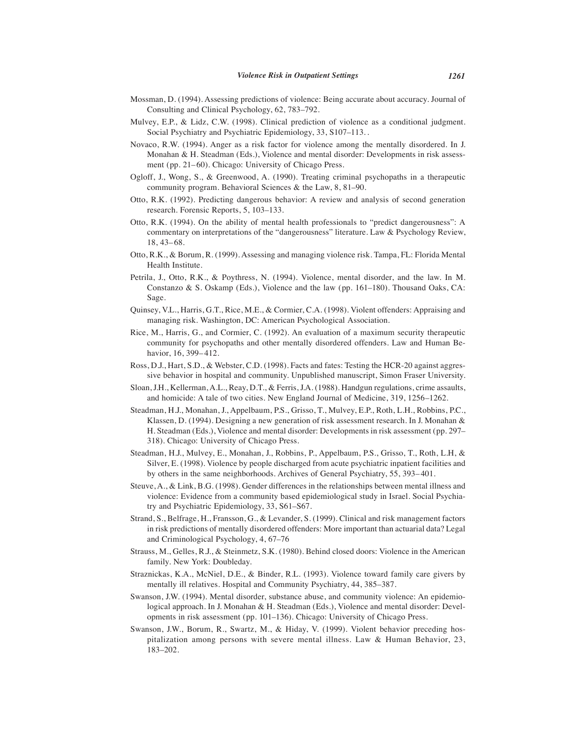- Mossman, D. (1994). Assessing predictions of violence: Being accurate about accuracy. Journal of Consulting and Clinical Psychology, 62, 783–792.
- Mulvey, E.P., & Lidz, C.W. (1998). Clinical prediction of violence as a conditional judgment. Social Psychiatry and Psychiatric Epidemiology, 33, S107–113. .
- Novaco, R.W. (1994). Anger as a risk factor for violence among the mentally disordered. In J. Monahan & H. Steadman (Eds.), Violence and mental disorder: Developments in risk assessment (pp. 21–60). Chicago: University of Chicago Press.
- Ogloff, J., Wong, S., & Greenwood, A. (1990). Treating criminal psychopaths in a therapeutic community program. Behavioral Sciences & the Law, 8, 81–90.
- Otto, R.K. (1992). Predicting dangerous behavior: A review and analysis of second generation research. Forensic Reports, 5, 103–133.
- Otto, R.K. (1994). On the ability of mental health professionals to "predict dangerousness": A commentary on interpretations of the "dangerousness" literature. Law & Psychology Review, 18, 43– 68.
- Otto, R.K., & Borum, R. (1999). Assessing and managing violence risk. Tampa, FL: Florida Mental Health Institute.
- Petrila, J., Otto, R.K., & Poythress, N. (1994). Violence, mental disorder, and the law. In M. Constanzo & S. Oskamp (Eds.), Violence and the law (pp. 161–180). Thousand Oaks, CA: Sage.
- Quinsey, V.L., Harris, G.T., Rice, M.E., & Cormier, C.A. (1998). Violent offenders: Appraising and managing risk. Washington, DC: American Psychological Association.
- Rice, M., Harris, G., and Cormier, C. (1992). An evaluation of a maximum security therapeutic community for psychopaths and other mentally disordered offenders. Law and Human Behavior, 16, 399-412.
- Ross, D.J., Hart, S.D., & Webster, C.D. (1998). Facts and fates: Testing the HCR-20 against aggressive behavior in hospital and community. Unpublished manuscript, Simon Fraser University.
- Sloan, J.H., Kellerman, A.L., Reay, D.T., & Ferris, J.A. (1988). Handgun regulations, crime assaults, and homicide: A tale of two cities. New England Journal of Medicine, 319, 1256–1262.
- Steadman, H.J., Monahan, J., Appelbaum, P.S., Grisso, T., Mulvey, E.P., Roth, L.H., Robbins, P.C., Klassen, D. (1994). Designing a new generation of risk assessment research. In J. Monahan & H. Steadman (Eds.), Violence and mental disorder: Developments in risk assessment (pp. 297– 318). Chicago: University of Chicago Press.
- Steadman, H.J., Mulvey, E., Monahan, J., Robbins, P., Appelbaum, P.S., Grisso, T., Roth, L.H, & Silver, E. (1998). Violence by people discharged from acute psychiatric inpatient facilities and by others in the same neighborhoods. Archives of General Psychiatry, 55, 393– 401.
- Steuve, A., & Link, B.G. (1998). Gender differences in the relationships between mental illness and violence: Evidence from a community based epidemiological study in Israel. Social Psychiatry and Psychiatric Epidemiology, 33, S61–S67.
- Strand, S., Belfrage, H., Fransson, G., & Levander, S. (1999). Clinical and risk management factors in risk predictions of mentally disordered offenders: More important than actuarial data? Legal and Criminological Psychology, 4, 67–76
- Strauss, M., Gelles, R.J., & Steinmetz, S.K. (1980). Behind closed doors: Violence in the American family. New York: Doubleday.
- Straznickas, K.A., McNiel, D.E., & Binder, R.L. (1993). Violence toward family care givers by mentally ill relatives. Hospital and Community Psychiatry, 44, 385–387.
- Swanson, J.W. (1994). Mental disorder, substance abuse, and community violence: An epidemiological approach. In J. Monahan & H. Steadman (Eds.), Violence and mental disorder: Developments in risk assessment (pp. 101–136). Chicago: University of Chicago Press.
- Swanson, J.W., Borum, R., Swartz, M., & Hiday, V. (1999). Violent behavior preceding hospitalization among persons with severe mental illness. Law & Human Behavior, 23, 183–202.